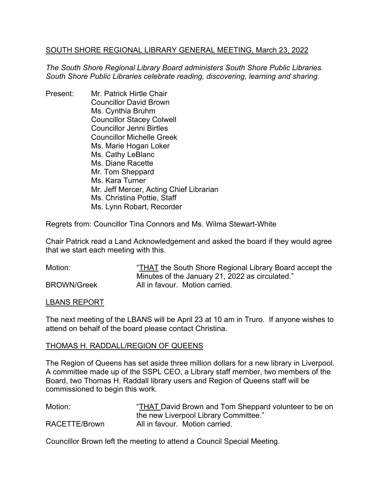## SOUTH SHORE REGIONAL LIBRARY GENERAL MEETING, March 23, 2022

*The South Shore Regional Library Board administers South Shore Public Libraries. South Shore Public Libraries celebrate reading, discovering, learning and sharing.*

Present: Mr. Patrick Hirtle Chair Councillor David Brown Ms. Cynthia Bruhm Councillor Stacey Colwell Councillor Jenni Birtles Councillor Michelle Greek Ms. Marie Hogan Loker Ms. Cathy LeBlanc Ms. Diane Racette Mr. Tom Sheppard Ms. Kara Turner Mr. Jeff Mercer, Acting Chief Librarian Ms. Christina Pottie, Staff Ms. Lynn Robart, Recorder

Regrets from: Councillor Tina Connors and Ms. Wilma Stewart-White

Chair Patrick read a Land Acknowledgement and asked the board if they would agree that we start each meeting with this.

| Motion:            | "THAT the South Shore Regional Library Board accept the |
|--------------------|---------------------------------------------------------|
|                    | Minutes of the January 21, 2022 as circulated."         |
| <b>BROWN/Greek</b> | All in favour. Motion carried.                          |

## LBANS REPORT

The next meeting of the LBANS will be April 23 at 10 am in Truro. If anyone wishes to attend on behalf of the board please contact Christina.

# THOMAS H. RADDALL/REGION OF QUEENS

The Region of Queens has set aside three million dollars for a new library in Liverpool. A committee made up of the SSPL CEO, a Library staff member, two members of the Board, two Thomas H. Raddall library users and Region of Queens staff will be commissioned to begin this work.

Motion: "THAT David Brown and Tom Sheppard volunteer to be on the new Liverpool Library Committee." RACETTE/Brown All in favour. Motion carried.

Councillor Brown left the meeting to attend a Council Special Meeting.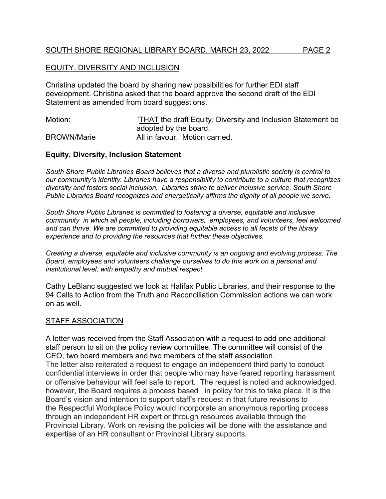## SOUTH SHORE REGIONAL LIBRARY BOARD, MARCH 23, 2022 PAGE 2

## EQUITY, DIVERSITY AND INCLUSION

Christina updated the board by sharing new possibilities for further EDI staff development. Christina asked that the board approve the second draft of the EDI Statement as amended from board suggestions.

Motion: "THAT the draft Equity, Diversity and Inclusion Statement be adopted by the board. BROWN/Marie **All in favour.** Motion carried.

## **Equity, Diversity, Inclusion Statement**

*South Shore Public Libraries Board believes that a diverse and pluralistic society is central to our community's identity. Libraries have a responsibility to contribute to a culture that recognizes diversity and fosters social inclusion. Libraries strive to deliver inclusive service. South Shore Public Libraries Board recognizes and energetically affirms the dignity of all people we serve.* 

*South Shore Public Libraries is committed to fostering a diverse, equitable and inclusive community in which all people, including borrowers, employees, and volunteers, feel welcomed and can thrive. We are committed to providing equitable access to all facets of the library experience and to providing the resources that further these objectives.*

*Creating a diverse, equitable and inclusive community is an ongoing and evolving process. The Board, employees and volunteers challenge ourselves to do this work on a personal and institutional level, with empathy and mutual respect.*

Cathy LeBlanc suggested we look at Halifax Public Libraries, and their response to the 94 Calls to Action from the Truth and Reconciliation Commission actions we can work on as well.

## STAFF ASSOCIATION

A letter was received from the Staff Association with a request to add one additional staff person to sit on the policy review committee. The committee will consist of the CEO, two board members and two members of the staff association. The letter also reiterated a request to engage an independent third party to conduct confidential interviews in order that people who may have feared reporting harassment or offensive behaviour will feel safe to report. The request is noted and acknowledged, however, the Board requires a process based in policy for this to take place. It is the Board's vision and intention to support staff's request in that future revisions to the Respectful Workplace Policy would incorporate an anonymous reporting process through an independent HR expert or through resources available through the Provincial Library. Work on revising the policies will be done with the assistance and expertise of an HR consultant or Provincial Library supports*.*